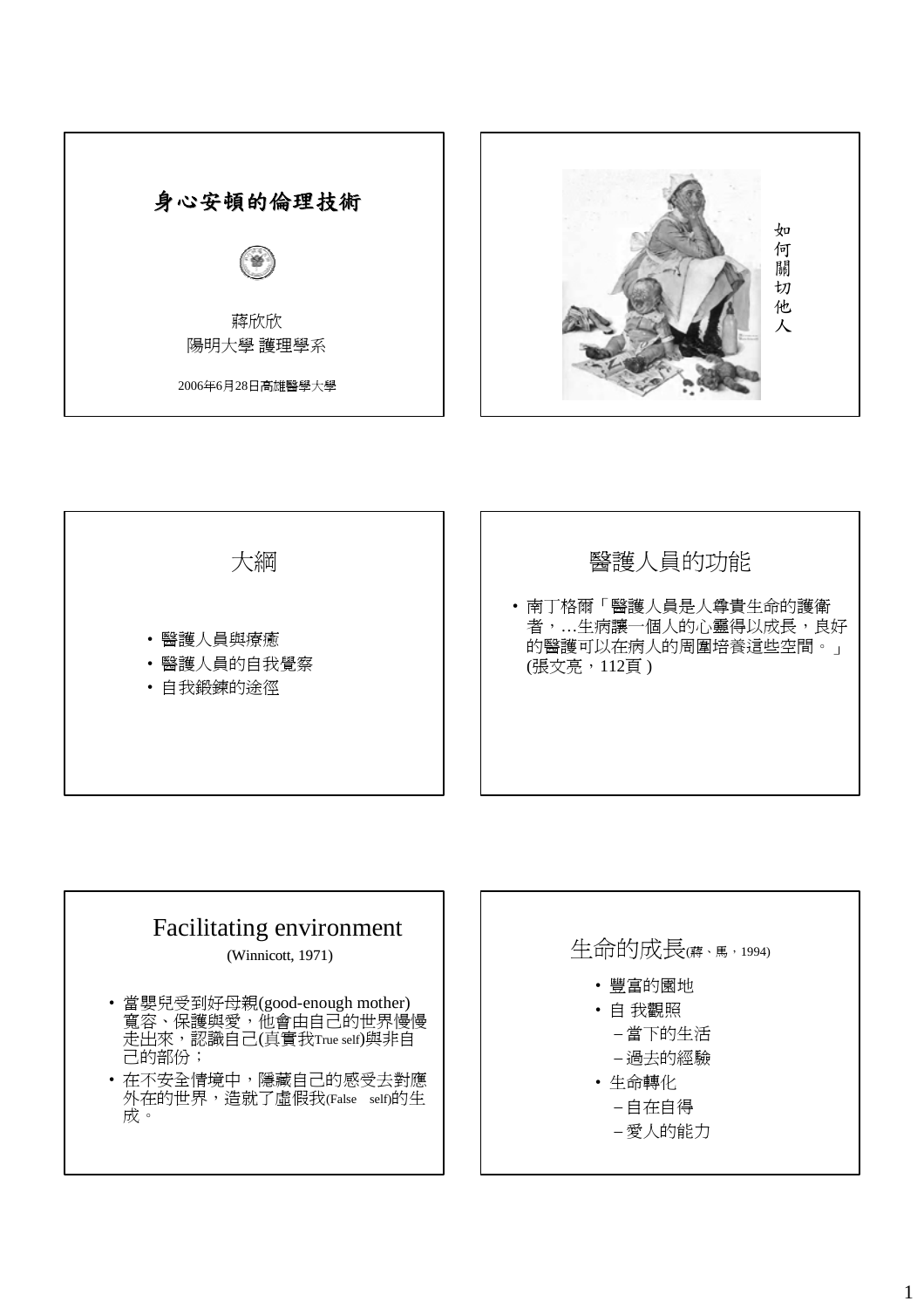



# Facilitating environment

(Winnicott, 1971)

- 當嬰兒受到好母親(good-enough mother) 寬容、保護與愛,他會由自己的世界慢慢 走出來,認識自己(真實我True self)與非自 己的部份;
- 在不安全情境中,隱藏自己的感受去對應 外在的世界,造就了虛假我(False self)的生 成。

## 生命的成長(蔣、馬, 1994)

- 豐富的園地
- 自 我觀照
	- 當下的生活
	- 過去的經驗
- 生命轉化
	- 自在自得
	- 愛人的能力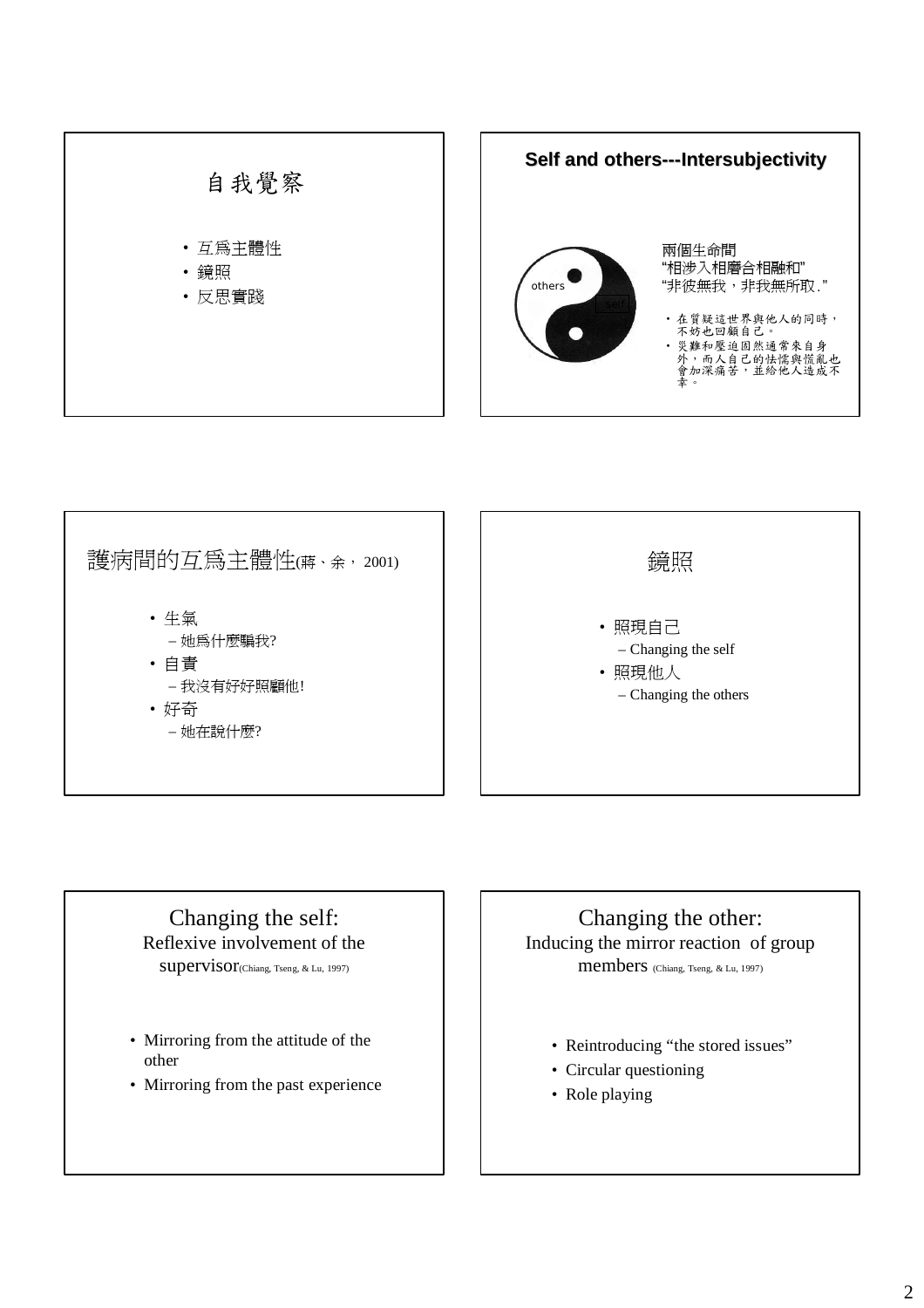

護病間的互爲主體性(蔣、余, 2001) 鏡照 • 照現自己 – Changing the self • 照現他人 – Changing the others

#### Changing the self: Reflexive involvement of the

• 生氣

• 自責

• 好奇

– 她為什麼騙我?

– 她在說什麼?

– 我沒有好好照顧他!

supervisor(Chiang, Tseng, & Lu, 1997)

- Mirroring from the attitude of the other
- Mirroring from the past experience

#### Changing the other: Inducing the mirror reaction of group members (Chiang, Tseng, & Lu, 1997)

- Reintroducing "the stored issues"
- Circular questioning
- Role playing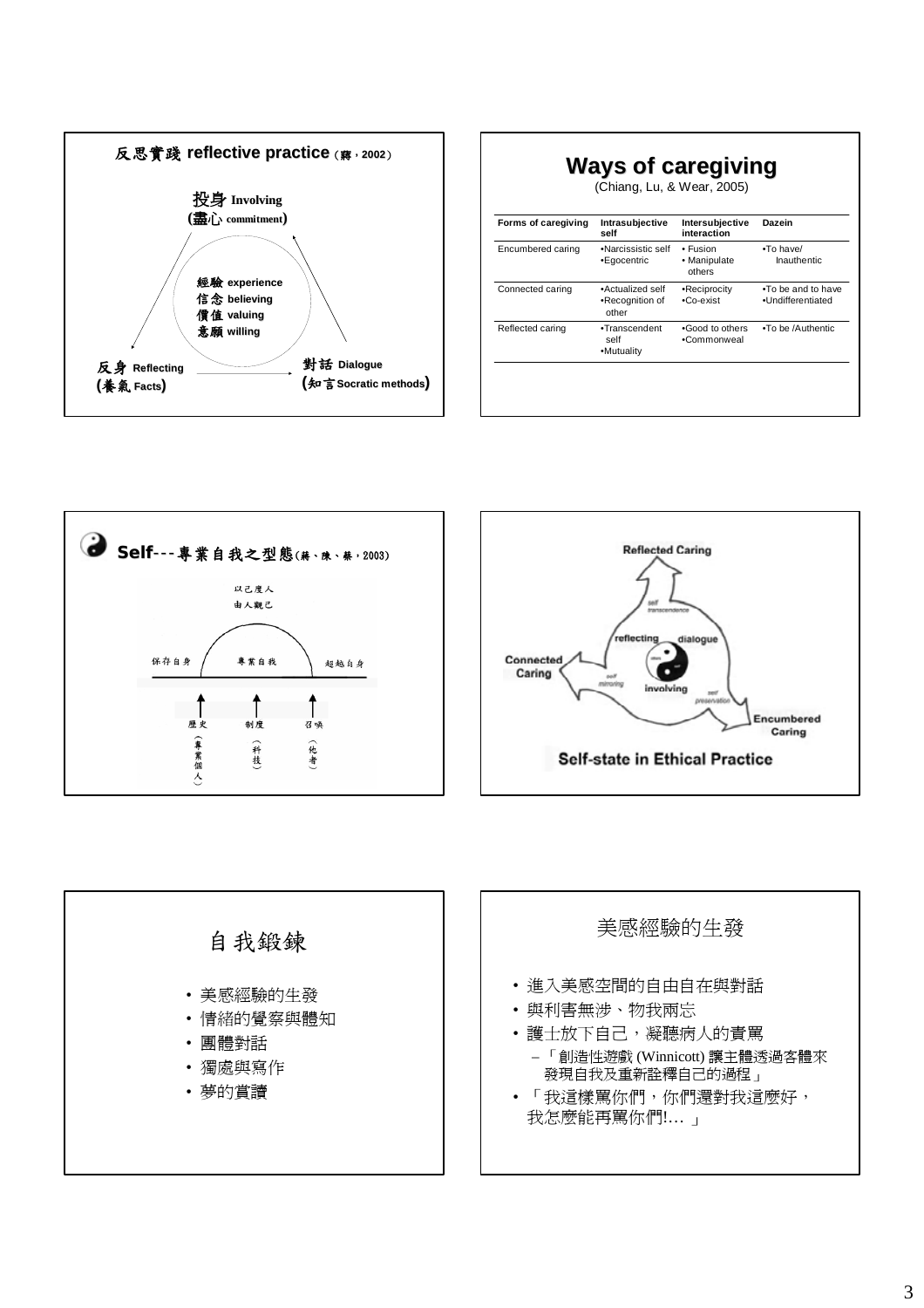

| (Chiang, Lu, & Wear, 2005) |                                              |                                    |                                          |
|----------------------------|----------------------------------------------|------------------------------------|------------------------------------------|
| Forms of caregiving        | Intrasubjective<br>self                      | Intersubjective<br>interaction     | Dazein                                   |
| Encumbered caring          | .Narcissistic self<br>•Egocentric            | • Fusion<br>• Manipulate<br>others | $\cdot$ To have/<br>Inauthentic          |
| Connected caring           | •Actualized self<br>•Recognition of<br>other | •Reciprocity<br>$-Co-exist$        | . To be and to have<br>·Undifferentiated |
| Reflected caring           | •Transcendent<br>self<br>•Mutuality          | .Good to others<br>•Commonweal     | .To be /Authentic                        |